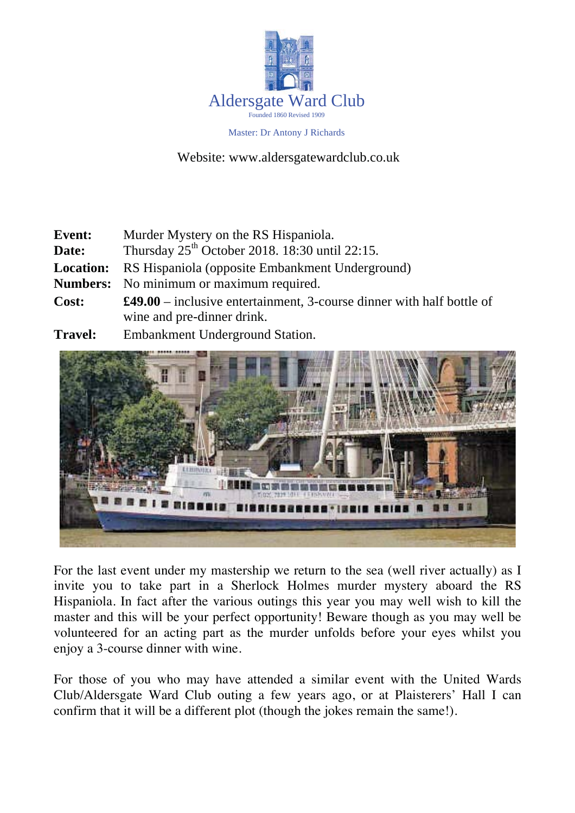

Master: Dr Antony J Richards

Website: www.aldersgatewardclub.co.uk

| <b>Event:</b>    | Murder Mystery on the RS Hispaniola.                                                                        |  |
|------------------|-------------------------------------------------------------------------------------------------------------|--|
| Date:            | Thursday $25th$ October 2018. 18:30 until 22:15.                                                            |  |
| <b>Location:</b> | RS Hispaniola (opposite Embankment Underground)                                                             |  |
|                  | <b>Numbers:</b> No minimum or maximum required.                                                             |  |
| Cost:            | $\pounds49.00$ – inclusive entertainment, 3-course dinner with half bottle of<br>wine and pre-dinner drink. |  |
| <b>Travel:</b>   | <b>Embankment Underground Station.</b>                                                                      |  |



For the last event under my mastership we return to the sea (well river actually) as I invite you to take part in a Sherlock Holmes murder mystery aboard the RS Hispaniola. In fact after the various outings this year you may well wish to kill the master and this will be your perfect opportunity! Beware though as you may well be volunteered for an acting part as the murder unfolds before your eyes whilst you enjoy a 3-course dinner with wine.

For those of you who may have attended a similar event with the United Wards Club/Aldersgate Ward Club outing a few years ago, or at Plaisterers' Hall I can confirm that it will be a different plot (though the jokes remain the same!).